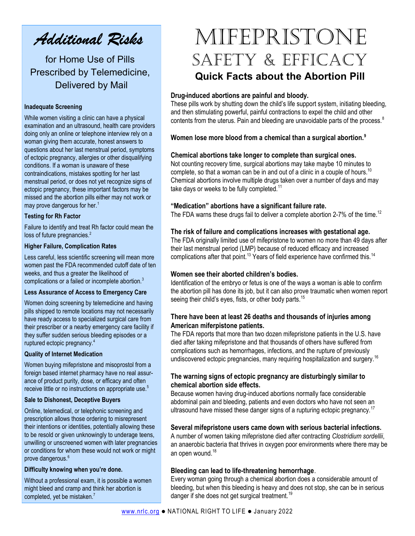Additional Risks

for Home Use of Pills Prescribed by Telemedicine, Delivered by Mail

#### Inadequate Screening

While women visiting a clinic can have a physical examination and an ultrasound, health care providers doing only an online or telephone interview rely on a woman giving them accurate, honest answers to questions about her last menstrual period, symptoms of ectopic pregnancy, allergies or other disqualifying conditions. If a woman is unaware of these contraindications, mistakes spotting for her last menstrual period, or does not yet recognize signs of ectopic pregnancy, these important factors may be missed and the abortion pills either may not work or may prove dangerous for her.<sup>1</sup>

#### Testing for Rh Factor

Failure to identify and treat Rh factor could mean the loss of future pregnancies.<sup>2</sup>

#### Higher Failure, Complication Rates

Less careful, less scientific screening will mean more women past the FDA recommended cutoff date of ten weeks, and thus a greater the likelihood of complications or a failed or incomplete abortion.<sup>3</sup>

#### Less Assurance of Access to Emergency Care

Women doing screening by telemedicine and having pills shipped to remote locations may not necessarily have ready access to specialized surgical care from their prescriber or a nearby emergency care facility if they suffer sudden serious bleeding episodes or a ruptured ectopic pregnancy.<sup>4</sup>

# Quality of Internet Medication

Women buying mifepristone and misoprostol from a foreign based internet pharmacy have no real assurance of product purity, dose, or efficacy and often receive little or no instructions on appropriate use.<sup>5</sup>

#### Sale to Dishonest, Deceptive Buyers

Online, telemedical, or telephonic screening and prescription allows those ordering to misrepresent their intentions or identities, potentially allowing these to be resold or given unknowingly to underage teens, unwilling or unscreened women with later pregnancies or conditions for whom these would not work or might prove dangerous.<sup>6</sup>

#### Difficulty knowing when you're done.

Without a professional exam, it is possible a women might bleed and cramp and think her abortion is completed, yet be mistaken.<sup>7</sup>

# Mifepristone SAFETY & EFFICACY Quick Facts about the Abortion Pill

### Drug-induced abortions are painful and bloody.

These pills work by shutting down the child's life support system, initiating bleeding, and then stimulating powerful, painful contractions to expel the child and other contents from the uterus. Pain and bleeding are unavoidable parts of the process.<sup>8</sup>

# Women lose more blood from a chemical than a surgical abortion.<sup>9</sup>

### Chemical abortions take longer to complete than surgical ones.

Not counting recovery time, surgical abortions may take maybe 10 minutes to complete, so that a woman can be in and out of a clinic in a couple of hours.<sup>10</sup> Chemical abortions involve multiple drugs taken over a number of days and may take days or weeks to be fully completed.<sup>11</sup>

### "Medication" abortions have a significant failure rate.

The FDA warns these drugs fail to deliver a complete abortion 2-7% of the time.<sup>12</sup>

# The risk of failure and complications increases with gestational age.

The FDA originally limited use of mifepristone to women no more than 49 days after their last menstrual period (LMP) because of reduced efficacy and increased complications after that point.<sup>13</sup> Years of field experience have confirmed this.<sup>14</sup>

#### Women see their aborted children's bodies.

Identification of the embryo or fetus is one of the ways a woman is able to confirm the abortion pill has done its job, but it can also prove traumatic when women report seeing their child's eyes, fists, or other body parts.<sup>15</sup>

# There have been at least 26 deaths and thousands of injuries among American miferpistone patients.

The FDA reports that more than two dozen mifepristone patients in the U.S. have died after taking mifepristone and that thousands of others have suffered from complications such as hemorrhages, infections, and the rupture of previously undiscovered ectopic pregnancies, many requiring hospitalization and surgery.<sup>16</sup>

# The warning signs of ectopic pregnancy are disturbingly similar to chemical abortion side effects.

Because women having drug-induced abortions normally face considerable abdominal pain and bleeding, patients and even doctors who have not seen an ultrasound have missed these danger signs of a rupturing ectopic pregnancy.<sup>17</sup>

#### Several mifepristone users came down with serious bacterial infections.

A number of women taking mifepristone died after contracting Clostridium sordellii, an anaerobic bacteria that thrives in oxygen poor environments where there may be an open wound.<sup>18</sup>

# Bleeding can lead to life-threatening hemorrhage.

Every woman going through a chemical abortion does a considerable amount of bleeding, but when this bleeding is heavy and does not stop, she can be in serious danger if she does not get surgical treatment.<sup>19</sup>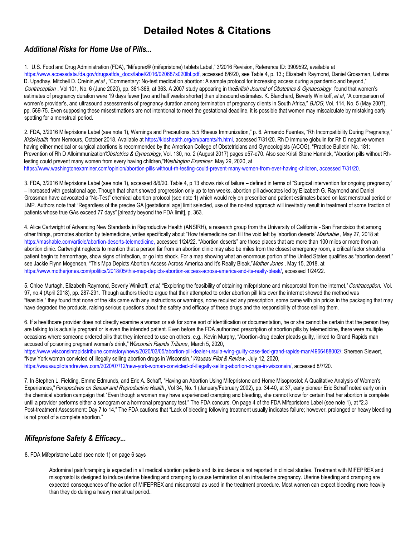# Detailed Notes & Citations

# Additional Risks for Home Use of Pills...

1. U.S. Food and Drug Administration (FDA), "Mifeprex® (mifepristone) tablets Label," 3/2016 Revision, Reference ID: 3909592, available at [https://www.accessdata.fda.gov/drugsatfda\\_docs/label/2016/020687s020lbl.pdf,](https://www.accessdata.fda.gov/drugsatfda_docs/label/2016/020687s020lbl.pdf) accessed 8/6/20, see Table 4, p. 13.; Elizabeth Raymond, Daniel Grossman, Ushma D. Upadhay, Mitchell D. Creinin, et al, "Commentary: No-test medication abortion: A sample protocol for increasing access during a pandemic and beyond," Contraception , Vol 101, No. 6 (June 2020), pp. 361-366, at 363. A 2007 study appearing in the British Journal of Obstetrics & Gynaecology found that women's estimates of pregnancy duration were 19 days fewer [two and half weeks shorter] than ultrasound estimates. K. Blanchard, Beverly Winikoff, et al, "A comparison of women's provider's, and ultrasound assessments of pregnancy duration among termination of pregnancy clients in South Africa," BJOG, Vol. 114, No. 5 (May 2007), pp. 569-75. Even supposing these misestimations are not intentional to meet the gestational deadline, it is possible that women may miscalculate by mistaking early spotting for a menstrual period.

2. FDA, 3/2016 Mifepristone Label (see note 1), Warnings and Precautions. 5.5 Rhesus Immunization," p. 6. Armando Fuentes, "Rh Incompatibility During Pregnancy," KidsHealth from Nemours, October 2018. Available at [https://kidshealth.org/en/parents/rh.html,](https://kidshealth.org/en/parents/rh.html) accessed 7/31/20. Rh D immune globulin for Rh D negative women having either medical or surgical abortions is recommended by the American College of Obstetricians and Gynecologists (ACOG), "Practice Bulletin No. 181: Prevention of Rh D Alloimmunization" Obstetrics & Gynecology, Vol. 130, no. 2 (August 2017) pages e57-e70. Also see Kristi Stone Hamrick, "Abortion pills without Rhtesting could prevent many women from every having children." Washington Examiner, May 29, 2020, at [https://www.washingtonexaminer.com/opinion/abortion-pills-without-rh-testing-could-prevent-many-women-from-ever-having-children, ac](https://www.washingtonexaminer.com/opinion/abortion-pills-without-rh-testing-could-prevent-many-women-from-ever-having-children)cessed 7/31/20.

3. FDA, 3/2016 Mifepristone Label (see note 1), accessed 8/6/20. Table 4, p 13 shows risk of failure – defined in terms of "Surgical intervention for ongoing pregnancy" – increased with gestational age. Though that chart showed progression only up to ten weeks, abortion pill advocates led by Elizabeth G. Raymond and Daniel Grossman have advocated a "No-Test" chemical abortion protocol (see note 1) which would rely on prescriber and patient estimates based on last menstrual period or LMP. Authors note that "Regardless of the precise GA [gestational age] limit selected, use of the no-test approach will inevitably result in treatment of some fraction of patients whose true GAs exceed 77 days" [already beyond the FDA limit], p. 363.

4. Alice Cartwright of Advancing New Standards in Reproductive Health (ANSIRH), a research group from the University of California - San Francisico that among other things, promotes abortion by telemedicine, writes specifically about "How telemedicine can fill the void left by 'abortion deserts" Mashable, May 27, 2018 at [https://mashable.com/article/abortion-deserts-telemedicine,](https://mashable.com/article/abortion-deserts-telemedicine) accessed 1/24/22. "Abortion deserts" are those places that are more than 100 miles or more from an abortion clinic. Cartwright neglects to mention that a person far from an abortion clinic may also be miles from the closest emergency room, a critical factor should a patient begin to hemorrhage, show signs of infection, or go into shock. For a map showing what an enormous portion of the United States qualifies as "abortion desert," see Jackie Flynn Mogensen, "This Mpa Depicts Abortion Access Across America and It's Really Bleak," Mother Jones, May 15, 2018, at [https://www.motherjones.com/politics/2018/05/this-map-depicts-abortion-access-across-america-and-its-really-bleak/, acc](https://www.motherjones.com/politics/2018/05/this-map-depicts-abortion-access-across-america-and-its-really-bleak/)essed 1/24/22.

5. Chloe Murtagh, Elizabeth Raymond, Beverly Winikoff, et al, "Exploring the feasibility of obtaining mifepristone and misoprostol from the internet," Contraception, Vol. 97, no.4 (April 2018), pp. 287-291. Though authors tried to argue that their attempted to order abortion pill kits over the internet showed the method was "feasible," they found that none of the kits came with any instructions or warnings, none required any prescription, some came with pin pricks in the packaging that may have degraded the products, raising serious questions about the safety and efficacy of these drugs and the responsibility of those selling them.

6. If a healthcare provider does not directly examine a woman or ask for some sort of identification or documentation, he or she cannot be certain that the person they are talking to is actually pregnant or is even the intended patient. Even before the FDA authorized prescription of abortion pills by telemedicine, there were multiple occasions where someone ordered pills that they intended to use on others, e.g., Kevin Murphy, "Abortion-drug dealer pleads guilty, linked to Grand Rapids man accused of poisoning pregnant woman's drink," Wisconsin Rapids Tribune, March 5, 2020,

[https://www.wisconsinrapidstribune.com/story/news/2020/03/05/abortion-pill-dealer-ursula-wing-guilty-case-tied-grand-rapids-man/4966488002/; She](https://www.wisconsinrapidstribune.com/story/news/2020/03/05/abortion-pill-dealer-ursula-wing-guilty-case-tied-grand-rapids-man/4966488002/)reen Siewert, "New York woman convicted of illegally selling abortion drugs in Wisconsin," Wausau Pilot & Review, July 12, 2020,

[https://wausaupilotandreview.com/2020/07/12/new-york-woman-convicted-of-illegally-selling-abortion-drugs-in-wisconsin/, ac](https://wausaupilotandreview.com/2020/07/12/new-york-woman-convicted-of-illegally-selling-abortion-drugs-in-wisconsin/)cessed 8/7/20.

7. In Stephen L. Fielding, Emme Edmunds, and Eric A. Schaff, "Having an Abortion Using Mifepristone and Home Misoprostol: A Qualitative Analysis of Women's Experiences," Perspectives on Sexual and Reproductive Health, Vol 34, No. 1 (January/February 2002), pp. 34-40, at 37, early pioneer Eric Schaff noted early on in the chemical abortion campaign that "Even though a woman may have experienced cramping and bleeding, she cannot know for certain that her abortion is complete until a provider performs either a sonogram or a hormonal pregnancy test." The FDA concurs. On page 4 of the FDA Mifepristone Label (see note 1), at "2.3 Post-treatment Assessment: Day 7 to 14," The FDA cautions that "Lack of bleeding following treatment usually indicates failure; however, prolonged or heavy bleeding is not proof of a complete abortion."

# Mifepristone Safety & Efficacy...

8. FDA Mifepristone Label (see note 1) on page 6 says

Abdominal pain/cramping is expected in all medical abortion patients and its incidence is not reported in clinical studies. Treatment with MIFEPREX and misoprostol is designed to induce uterine bleeding and cramping to cause termination of an intrauterine pregnancy. Uterine bleeding and cramping are expected consequences of the action of MIFEPREX and misoprostol as used in the treatment procedure. Most women can expect bleeding more heavily than they do during a heavy menstrual period..